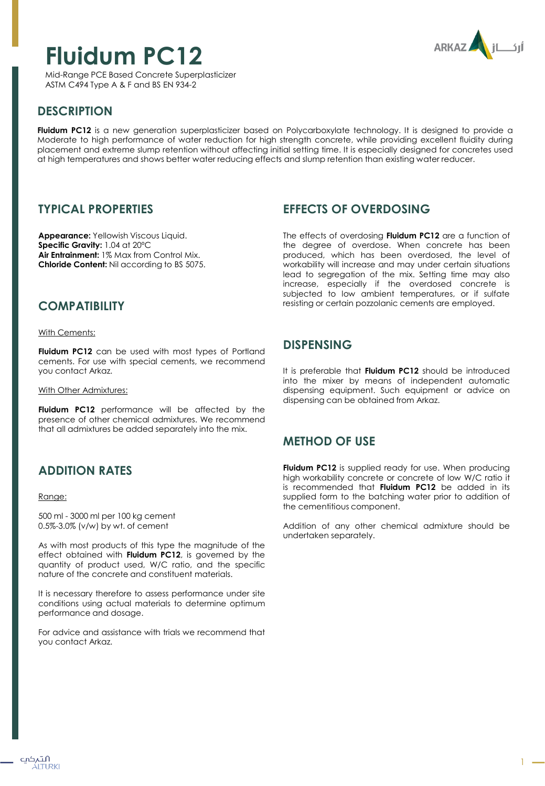# **Fluidum PC12**

**ARKAZ** 

Mid-Range PCE Based Concrete Superplasticizer ASTM C494 Type A & F and BS EN 934-2

## **DESCRIPTION**

**Fluidum PC12** is a new generation superplasticizer based on Polycarboxylate technology. It is designed to provide a Moderate to high performance of water reduction for high strength concrete, while providing excellent fluidity during placement and extreme slump retention without affecting initial setting time. It is especially designed for concretes used at high temperatures and shows better water reducing effects and slump retention than existing water reducer.

#### **TYPICAL PROPERTIES**

**Appearance:** Yellowish Viscous Liquid. **Specific Gravity:** 1.04 at 20ºC **Air Entrainment:** 1% Max from Control Mix. **Chloride Content:** Nil according to BS 5075.

## **EFFECTS OF OVERDOSING**

The effects of overdosing **Fluidum PC12** are a function of the degree of overdose. When concrete has been produced, which has been overdosed, the level of workability will increase and may under certain situations lead to segregation of the mix. Setting time may also increase, especially if the overdosed concrete is subjected to low ambient temperatures, or if sulfate resisting or certain pozzolanic cements are employed.

## **COMPATIBILITY**

With Cements:

**Fluidum PC12** can be used with most types of Portland cements. For use with special cements, we recommend you contact Arkaz.

With Other Admixtures:

**Fluidum PC12** performance will be affected by the presence of other chemical admixtures. We recommend that all admixtures be added separately into the mix.

# **ADDITION RATES**

#### Range:

500 ml - 3000 ml per 100 kg cement 0.5%-3.0% (v/w) by wt. of cement

As with most products of this type the magnitude of the effect obtained with **Fluidum PC12**, is governed by the quantity of product used, W/C ratio, and the specific nature of the concrete and constituent materials.

It is necessary therefore to assess performance under site conditions using actual materials to determine optimum performance and dosage.

For advice and assistance with trials we recommend that you contact Arkaz.

#### **DISPENSING**

It is preferable that **Fluidum PC12** should be introduced into the mixer by means of independent automatic dispensing equipment. Such equipment or advice on dispensing can be obtained from Arkaz.

#### **METHOD OF USE**

**Fluidum PC12** is supplied ready for use. When producing high workability concrete or concrete of low W/C ratio it is recommended that **Fluidum PC12** be added in its supplied form to the batching water prior to addition of the cementitious component.

Addition of any other chemical admixture should be undertaken separately.

1

التہکپ ÁITURKI